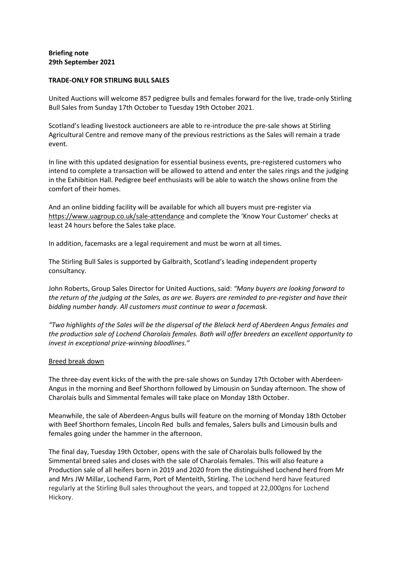# **Briefing note 29th September 2021**

# **TRADE-ONLY FOR STIRLING BULL SALES**

United Auctions will welcome 857 pedigree bulls and females forward for the live, trade-only Stirling Bull Sales from Sunday 17th October to Tuesday 19th October 2021.

Scotland's leading livestock auctioneers are able to re-introduce the pre-sale shows at Stirling Agricultural Centre and remove many of the previous restrictions as the Sales will remain a trade event.

In line with this updated designation for essential business events, pre-registered customers who intend to complete a transaction will be allowed to attend and enter the sales rings and the judging in the Exhibition Hall. Pedigree beef enthusiasts will be able to watch the shows online from the comfort of their homes.

And an online bidding facility will be available for which all buyers must pre-register via <https://www.uagroup.co.uk/sale-attendance> and complete the 'Know Your Customer' checks at least 24 hours before the Sales take place.

In addition, facemasks are a legal requirement and must be worn at all times.

The Stirling Bull Sales is supported by Galbraith, Scotland's leading independent property consultancy.

John Roberts, Group Sales Director for United Auctions, said: *"Many buyers are looking forward to the return of the judging at the Sales, as are we. Buyers are reminded to pre-register and have their bidding number handy. All customers must continue to wear a facemask.*

*"Two highlights of the Sales will be the dispersal of the Blelack herd of Aberdeen Angus females and the production sale of Lochend Charolais females. Both will offer breeders an excellent opportunity to invest in exceptional prize-winning bloodlines."*

# Breed break down

The three-day event kicks of the with the pre-sale shows on Sunday 17th October with Aberdeen-Angus in the morning and Beef Shorthorn followed by Limousin on Sunday afternoon. The show of Charolais bulls and Simmental females will take place on Monday 18th October.

Meanwhile, the sale of Aberdeen-Angus bulls will feature on the morning of Monday 18th October with Beef Shorthorn females, Lincoln Red bulls and females, Salers bulls and Limousin bulls and females going under the hammer in the afternoon.

The final day, Tuesday 19th October, opens with the sale of Charolais bulls followed by the Simmental breed sales and closes with the sale of Charolais females. This will also feature a Production sale of all heifers born in 2019 and 2020 from the distinguished Lochend herd from Mr and Mrs JW Millar, Lochend Farm, Port of Menteith, Stirling. The Lochend herd have featured regularly at the Stirling Bull sales throughout the years, and topped at 22,000gns for Lochend Hickory.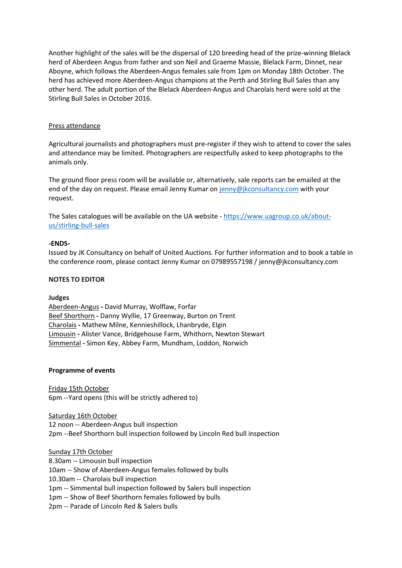Another highlight of the sales will be the dispersal of 120 breeding head of the prize-winning Blelack herd of Aberdeen Angus from father and son Neil and Graeme Massie, Blelack Farm, Dinnet, near Aboyne, which follows the Aberdeen-Angus females sale from 1pm on Monday 18th October. The herd has achieved more Aberdeen-Angus champions at the Perth and Stirling Bull Sales than any other herd. The adult portion of the Blelack Aberdeen-Angus and Charolais herd were sold at the Stirling Bull Sales in October 2016.

# Press attendance

Agricultural journalists and photographers must pre-register if they wish to attend to cover the sales and attendance may be limited. Photographers are respectfully asked to keep photographs to the animals only.

The ground floor press room will be available or, alternatively, sale reports can be emailed at the end of the day on request. Please email Jenny Kumar on [jenny@jkconsultancy.com](mailto:jenny@jkconsultancy.com) with your request.

The Sales catalogues will be available on the UA website - [https://www.uagroup.co.uk/about](https://www.uagroup.co.uk/about-us/stirling-bull-sales)[us/stirling-bull-sales](https://www.uagroup.co.uk/about-us/stirling-bull-sales)

# **-ENDS-**

Issued by JK Consultancy on behalf of United Auctions. For further information and to book a table in the conference room, please contact Jenny Kumar on 07989557198 / [jenny@jkconsultancy.com](mailto:jenny@jkconsultancy.com)

#### **NOTES TO EDITOR**

### **Judges**

Aberdeen-Angus **-** David Murray, Wolflaw, Forfar Beef Shorthorn **-** Danny Wyllie, 17 Greenway, Burton on Trent Charolais **-** Mathew Milne, Kennieshillock, Lhanbryde, Elgin Limousin **-** Alister Vance, Bridgehouse Farm, Whithorn, Newton Stewart Simmental **-** Simon Key, Abbey Farm, Mundham, Loddon, Norwich

#### **Programme of events**

Friday 15th October 6pm --Yard opens (this will be strictly adhered to)

Saturday 16th October 12 noon -- Aberdeen-Angus bull inspection 2pm --Beef Shorthorn bull inspection followed by Lincoln Red bull inspection

Sunday 17th October 8.30am -- Limousin bull inspection 10am -- Show of Aberdeen-Angus females followed by bulls 10.30am -- Charolais bull inspection 1pm -- Simmental bull inspection followed by Salers bull inspection 1pm -- Show of Beef Shorthorn females followed by bulls 2pm -- Parade of Lincoln Red & Salers bulls